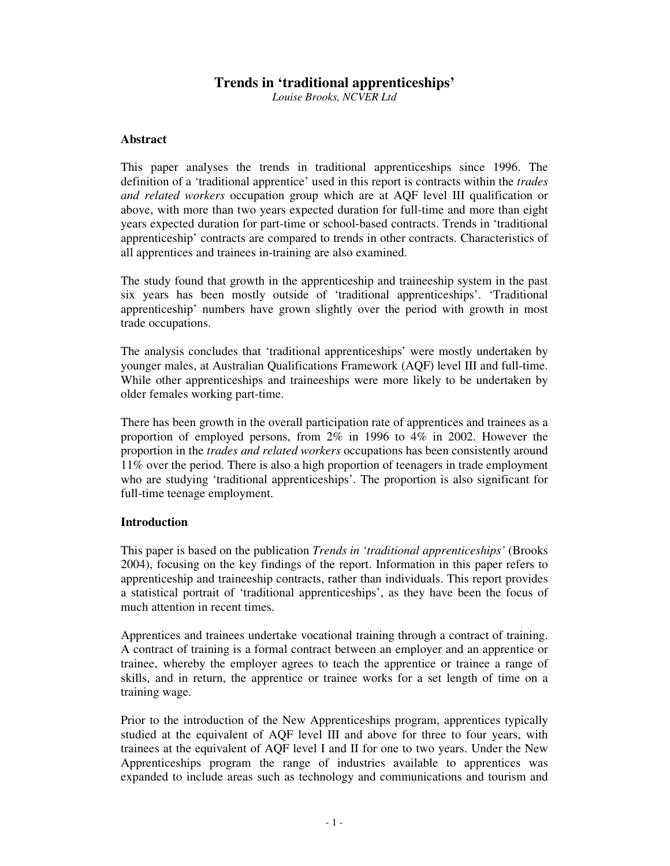# **Trends in 'traditional apprenticeships'**

*Louise Brooks, NCVER Ltd*

# **Abstract**

This paper analyses the trends in traditional apprenticeships since 1996. The definition of a 'traditional apprentice' used in this report is contracts within the *trades and related workers* occupation group which are at AQF level III qualification or above, with more than two years expected duration for full-time and more than eight years expected duration for part-time or school-based contracts. Trends in 'traditional apprenticeship' contracts are compared to trends in other contracts. Characteristics of all apprentices and trainees in-training are also examined.

The study found that growth in the apprenticeship and traineeship system in the past six years has been mostly outside of 'traditional apprenticeships'. 'Traditional apprenticeship' numbers have grown slightly over the period with growth in most trade occupations.

The analysis concludes that 'traditional apprenticeships' were mostly undertaken by younger males, at Australian Qualifications Framework (AQF) level III and full-time. While other apprenticeships and traineeships were more likely to be undertaken by older females working part-time.

There has been growth in the overall participation rate of apprentices and trainees as a proportion of employed persons, from 2% in 1996 to 4% in 2002. However the proportion in the *trades and related workers* occupations has been consistently around 11% over the period. There is also a high proportion of teenagers in trade employment who are studying 'traditional apprenticeships'. The proportion is also significant for full-time teenage employment.

### **Introduction**

This paper is based on the publication *Trends in 'traditional apprenticeships'* (Brooks 2004), focusing on the key findings of the report. Information in this paper refers to apprenticeship and traineeship contracts, rather than individuals. This report provides a statistical portrait of 'traditional apprenticeships', as they have been the focus of much attention in recent times.

Apprentices and trainees undertake vocational training through a contract of training. A contract of training is a formal contract between an employer and an apprentice or trainee, whereby the employer agrees to teach the apprentice or trainee a range of skills, and in return, the apprentice or trainee works for a set length of time on a training wage.

Prior to the introduction of the New Apprenticeships program, apprentices typically studied at the equivalent of AQF level III and above for three to four years, with trainees at the equivalent of AQF level I and II for one to two years. Under the New Apprenticeships program the range of industries available to apprentices was expanded to include areas such as technology and communications and tourism and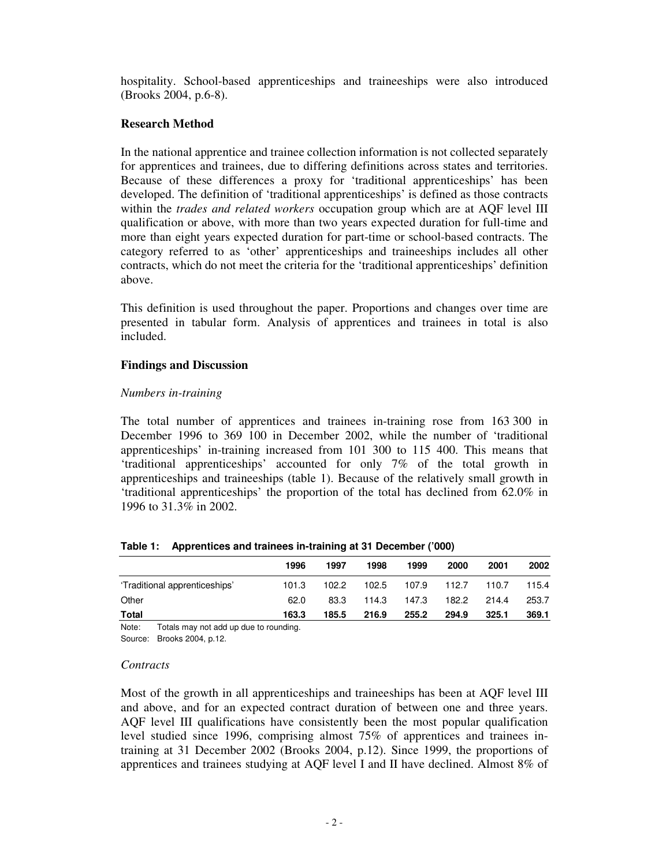hospitality. School-based apprenticeships and traineeships were also introduced (Brooks 2004, p.6-8).

### **Research Method**

In the national apprentice and trainee collection information is not collected separately for apprentices and trainees, due to differing definitions across states and territories. Because of these differences a proxy for 'traditional apprenticeships' has been developed. The definition of 'traditional apprenticeships' is defined as those contracts within the *trades and related workers* occupation group which are at AQF level III qualification or above, with more than two years expected duration for full-time and more than eight years expected duration for part-time or school-based contracts. The category referred to as 'other' apprenticeships and traineeships includes all other contracts, which do not meet the criteria for the 'traditional apprenticeships' definition above.

This definition is used throughout the paper. Proportions and changes over time are presented in tabular form. Analysis of apprentices and trainees in total is also included.

# **Findings and Discussion**

### *Numbers in-training*

The total number of apprentices and trainees in-training rose from 163 300 in December 1996 to 369 100 in December 2002, while the number of 'traditional apprenticeships' in-training increased from 101 300 to 115 400. This means that 'traditional apprenticeships' accounted for only 7% of the total growth in apprenticeships and traineeships (table 1). Because of the relatively small growth in 'traditional apprenticeships' the proportion of the total has declined from 62.0% in 1996 to 31.3% in 2002.

|  |  | Table 1: Apprentices and trainees in-training at 31 December ('000) |  |  |
|--|--|---------------------------------------------------------------------|--|--|
|--|--|---------------------------------------------------------------------|--|--|

|                               | 1996  | 1997  | 1998  | 1999  | 2000  | 2001  | 2002  |
|-------------------------------|-------|-------|-------|-------|-------|-------|-------|
| 'Traditional apprenticeships' | 101.3 | 102.2 | 102.5 | 107.9 | 112.7 | 110.7 | 115.4 |
| Other                         | 62.0  | 83.3  | 114.3 | 147.3 | 182.2 | 214.4 | 253.7 |
| Total                         | 163.3 | 185.5 | 216.9 | 255.2 | 294.9 | 325.1 | 369.1 |

Note: Totals may not add up due to rounding.

Source: Brooks 2004, p.12.

### *Contracts*

Most of the growth in all apprenticeships and traineeships has been at AQF level III and above, and for an expected contract duration of between one and three years. AQF level III qualifications have consistently been the most popular qualification level studied since 1996, comprising almost 75% of apprentices and trainees intraining at 31 December 2002 (Brooks 2004, p.12). Since 1999, the proportions of apprentices and trainees studying at AQF level I and II have declined. Almost 8% of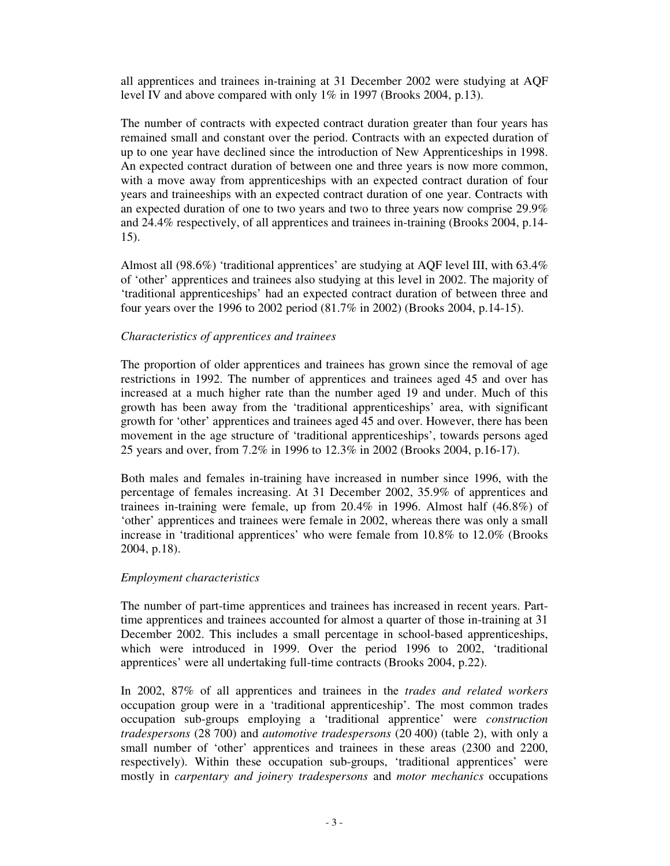all apprentices and trainees in-training at 31 December 2002 were studying at AQF level IV and above compared with only 1% in 1997 (Brooks 2004, p.13).

The number of contracts with expected contract duration greater than four years has remained small and constant over the period. Contracts with an expected duration of up to one year have declined since the introduction of New Apprenticeships in 1998. An expected contract duration of between one and three years is now more common, with a move away from apprenticeships with an expected contract duration of four years and traineeships with an expected contract duration of one year. Contracts with an expected duration of one to two years and two to three years now comprise 29.9% and 24.4% respectively, of all apprentices and trainees in-training (Brooks 2004, p.14- 15).

Almost all (98.6%) 'traditional apprentices' are studying at AQF level III, with 63.4% of 'other' apprentices and trainees also studying at this level in 2002. The majority of 'traditional apprenticeships' had an expected contract duration of between three and four years over the 1996 to 2002 period (81.7% in 2002) (Brooks 2004, p.14-15).

### *Characteristics of apprentices and trainees*

The proportion of older apprentices and trainees has grown since the removal of age restrictions in 1992. The number of apprentices and trainees aged 45 and over has increased at a much higher rate than the number aged 19 and under. Much of this growth has been away from the 'traditional apprenticeships' area, with significant growth for 'other' apprentices and trainees aged 45 and over. However, there has been movement in the age structure of 'traditional apprenticeships', towards persons aged 25 years and over, from 7.2% in 1996 to 12.3% in 2002 (Brooks 2004, p.16-17).

Both males and females in-training have increased in number since 1996, with the percentage of females increasing. At 31 December 2002, 35.9% of apprentices and trainees in-training were female, up from 20.4% in 1996. Almost half (46.8%) of 'other' apprentices and trainees were female in 2002, whereas there was only a small increase in 'traditional apprentices' who were female from 10.8% to 12.0% (Brooks 2004, p.18).

### *Employment characteristics*

The number of part-time apprentices and trainees has increased in recent years. Parttime apprentices and trainees accounted for almost a quarter of those in-training at 31 December 2002. This includes a small percentage in school-based apprenticeships, which were introduced in 1999. Over the period 1996 to 2002, 'traditional apprentices' were all undertaking full-time contracts (Brooks 2004, p.22).

In 2002, 87% of all apprentices and trainees in the *trades and related workers* occupation group were in a 'traditional apprenticeship'. The most common trades occupation sub-groups employing a 'traditional apprentice' were *construction tradespersons* (28 700) and *automotive tradespersons* (20 400) (table 2), with only a small number of 'other' apprentices and trainees in these areas (2300 and 2200, respectively). Within these occupation sub-groups, 'traditional apprentices' were mostly in *carpentary and joinery tradespersons* and *motor mechanics* occupations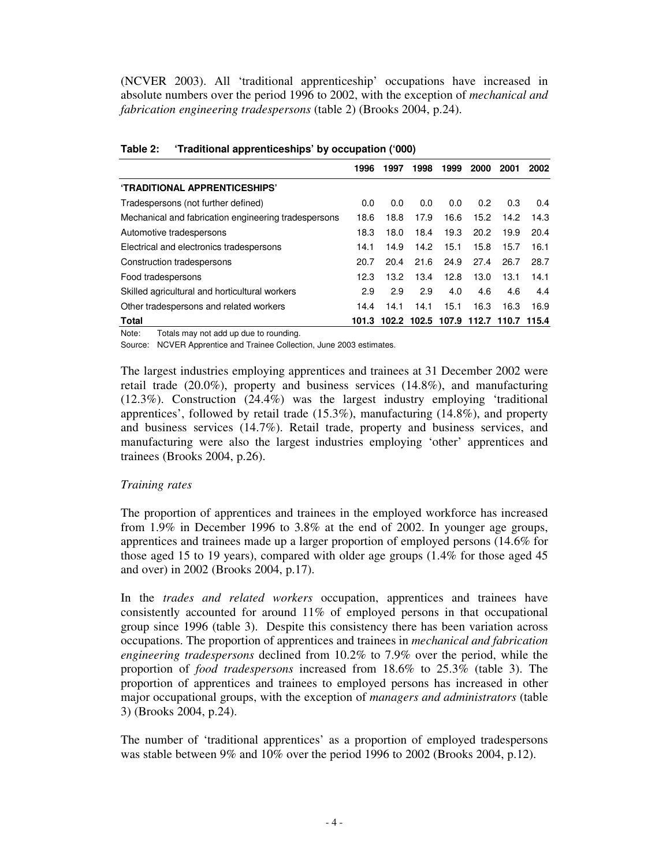(NCVER 2003). All 'traditional apprenticeship' occupations have increased in absolute numbers over the period 1996 to 2002, with the exception of *mechanical and fabrication engineering tradespersons* (table 2) (Brooks 2004, p.24).

|                                                      | 1996  | 1997  | 1998  | 1999  | 2000          | 2001  | 2002  |
|------------------------------------------------------|-------|-------|-------|-------|---------------|-------|-------|
| 'TRADITIONAL APPRENTICESHIPS'                        |       |       |       |       |               |       |       |
| Tradespersons (not further defined)                  | 0.0   | 0.0   | 0.0   | 0.0   | $0.2^{\circ}$ | 0.3   | 0.4   |
| Mechanical and fabrication engineering tradespersons | 18.6  | 18.8  | 17.9  | 16.6  | 15.2          | 14.2  | 14.3  |
| Automotive tradespersons                             | 18.3  | 18.0  | 18.4  | 19.3  | 20.2          | 19.9  | 20.4  |
| Electrical and electronics tradespersons             | 14.1  | 14.9  | 14.2  | 15.1  | 15.8          | 15.7  | 16.1  |
| Construction tradespersons                           | 20.7  | 20.4  | 21.6  | 24.9  | 27.4          | 26.7  | 28.7  |
| Food tradespersons                                   | 12.3  | 13.2  | 13.4  | 12.8  | 13.0          | 13.1  | 14.1  |
| Skilled agricultural and horticultural workers       | 2.9   | 2.9   | 2.9   | 4.0   | 4.6           | 4.6   | 4.4   |
| Other tradespersons and related workers              | 14.4  | 14.1  | 14.1  | 15.1  | 16.3          | 16.3  | 16.9  |
| Total                                                | 101.3 | 102.2 | 102.5 | 107.9 | 112.7         | 110.7 | 115.4 |

| Table 2: | 'Traditional apprenticeships' by occupation ('000) |  |
|----------|----------------------------------------------------|--|
|----------|----------------------------------------------------|--|

Note: Totals may not add up due to rounding.

Source: NCVER Apprentice and Trainee Collection, June 2003 estimates.

The largest industries employing apprentices and trainees at 31 December 2002 were retail trade (20.0%), property and business services (14.8%), and manufacturing (12.3%). Construction (24.4%) was the largest industry employing 'traditional apprentices', followed by retail trade (15.3%), manufacturing (14.8%), and property and business services (14.7%). Retail trade, property and business services, and manufacturing were also the largest industries employing 'other' apprentices and trainees (Brooks 2004, p.26).

#### *Training rates*

The proportion of apprentices and trainees in the employed workforce has increased from 1.9% in December 1996 to 3.8% at the end of 2002. In younger age groups, apprentices and trainees made up a larger proportion of employed persons (14.6% for those aged 15 to 19 years), compared with older age groups (1.4% for those aged 45 and over) in 2002 (Brooks 2004, p.17).

In the *trades and related workers* occupation, apprentices and trainees have consistently accounted for around 11% of employed persons in that occupational group since 1996 (table 3). Despite this consistency there has been variation across occupations. The proportion of apprentices and trainees in *mechanical and fabrication engineering tradespersons* declined from 10.2% to 7.9% over the period, while the proportion of *food tradespersons* increased from 18.6% to 25.3% (table 3). The proportion of apprentices and trainees to employed persons has increased in other major occupational groups, with the exception of *managers and administrators* (table 3) (Brooks 2004, p.24).

The number of 'traditional apprentices' as a proportion of employed tradespersons was stable between 9% and 10% over the period 1996 to 2002 (Brooks 2004, p.12).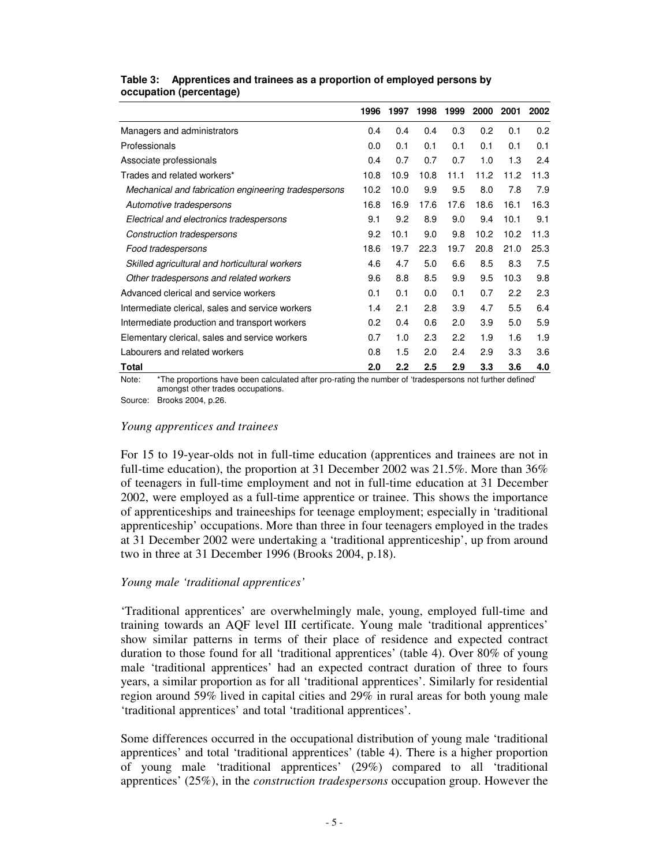|                                                      | 1996 | 1997             | 1998 | 1999 | 2000 | 2001 | 2002 |
|------------------------------------------------------|------|------------------|------|------|------|------|------|
| Managers and administrators                          | 0.4  | 0.4              | 0.4  | 0.3  | 0.2  | 0.1  | 0.2  |
| Professionals                                        | 0.0  | 0.1              | 0.1  | 0.1  | 0.1  | 0.1  | 0.1  |
| Associate professionals                              | 0.4  | 0.7              | 0.7  | 0.7  | 1.0  | 1.3  | 2.4  |
| Trades and related workers*                          | 10.8 | 10.9             | 10.8 | 11.1 | 11.2 | 11.2 | 11.3 |
| Mechanical and fabrication engineering tradespersons | 10.2 | 10.0             | 9.9  | 9.5  | 8.0  | 7.8  | 7.9  |
| Automotive tradespersons                             | 16.8 | 16.9             | 17.6 | 17.6 | 18.6 | 16.1 | 16.3 |
| Electrical and electronics tradespersons             | 9.1  | 9.2              | 8.9  | 9.0  | 9.4  | 10.1 | 9.1  |
| Construction tradespersons                           | 9.2  | 10.1             | 9.0  | 9.8  | 10.2 | 10.2 | 11.3 |
| Food tradespersons                                   | 18.6 | 19.7             | 22.3 | 19.7 | 20.8 | 21.0 | 25.3 |
| Skilled agricultural and horticultural workers       | 4.6  | 4.7              | 5.0  | 6.6  | 8.5  | 8.3  | 7.5  |
| Other tradespersons and related workers              | 9.6  | 8.8              | 8.5  | 9.9  | 9.5  | 10.3 | 9.8  |
| Advanced clerical and service workers                | 0.1  | 0.1              | 0.0  | 0.1  | 0.7  | 2.2  | 2.3  |
| Intermediate clerical, sales and service workers     | 1.4  | 2.1              | 2.8  | 3.9  | 4.7  | 5.5  | 6.4  |
| Intermediate production and transport workers        | 0.2  | 0.4              | 0.6  | 2.0  | 3.9  | 5.0  | 5.9  |
| Elementary clerical, sales and service workers       | 0.7  | 1.0              | 2.3  | 2.2  | 1.9  | 1.6  | 1.9  |
| Labourers and related workers                        | 0.8  | 1.5              | 2.0  | 2.4  | 2.9  | 3.3  | 3.6  |
| Total                                                | 2.0  | $2.2\phantom{0}$ | 2.5  | 2.9  | 3.3  | 3.6  | 4.0  |

#### **Table 3: Apprentices and trainees as a proportion of employed persons by occupation (percentage)**

Note: \*The proportions have been calculated after pro-rating the number of 'tradespersons not further defined' amongst other trades occupations.

Source: Brooks 2004, p.26.

#### *Young apprentices and trainees*

For 15 to 19-year-olds not in full-time education (apprentices and trainees are not in full-time education), the proportion at 31 December 2002 was 21.5%. More than 36% of teenagers in full-time employment and not in full-time education at 31 December 2002, were employed as a full-time apprentice or trainee. This shows the importance of apprenticeships and traineeships for teenage employment; especially in 'traditional apprenticeship' occupations. More than three in four teenagers employed in the trades at 31 December 2002 were undertaking a 'traditional apprenticeship', up from around two in three at 31 December 1996 (Brooks 2004, p.18).

### *Young male 'traditional apprentices'*

'Traditional apprentices' are overwhelmingly male, young, employed full-time and training towards an AQF level III certificate. Young male 'traditional apprentices' show similar patterns in terms of their place of residence and expected contract duration to those found for all 'traditional apprentices' (table 4). Over 80% of young male 'traditional apprentices' had an expected contract duration of three to fours years, a similar proportion as for all 'traditional apprentices'. Similarly for residential region around 59% lived in capital cities and 29% in rural areas for both young male 'traditional apprentices' and total 'traditional apprentices'.

Some differences occurred in the occupational distribution of young male 'traditional apprentices' and total 'traditional apprentices' (table 4). There is a higher proportion of young male 'traditional apprentices' (29%) compared to all 'traditional apprentices' (25%), in the *construction tradespersons* occupation group. However the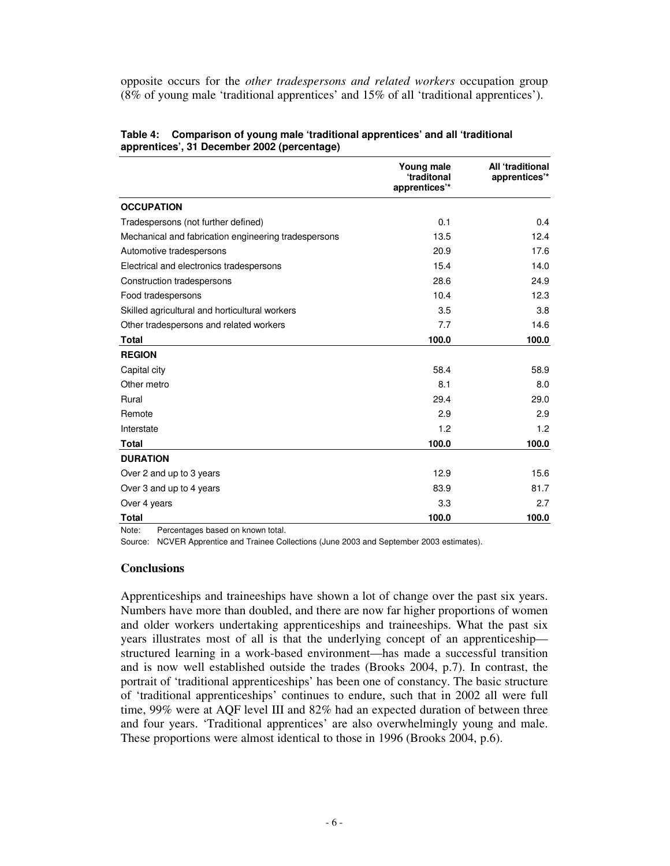opposite occurs for the *other tradespersons and related workers* occupation group (8% of young male 'traditional apprentices' and 15% of all 'traditional apprentices').

|                                                      | Young male<br>'traditonal<br>apprentices'* | All 'traditional<br>apprentices'* |
|------------------------------------------------------|--------------------------------------------|-----------------------------------|
| <b>OCCUPATION</b>                                    |                                            |                                   |
| Tradespersons (not further defined)                  | 0.1                                        | 0.4                               |
| Mechanical and fabrication engineering tradespersons | 13.5                                       | 12.4                              |
| Automotive tradespersons                             | 20.9                                       | 17.6                              |
| Electrical and electronics tradespersons             | 15.4                                       | 14.0                              |
| Construction tradespersons                           | 28.6                                       | 24.9                              |
| Food tradespersons                                   | 10.4                                       | 12.3                              |
| Skilled agricultural and horticultural workers       | 3.5                                        | 3.8                               |
| Other tradespersons and related workers              | 7.7                                        | 14.6                              |
| <b>Total</b>                                         | 100.0                                      | 100.0                             |
| <b>REGION</b>                                        |                                            |                                   |
| Capital city                                         | 58.4                                       | 58.9                              |
| Other metro                                          | 8.1                                        | 8.0                               |
| Rural                                                | 29.4                                       | 29.0                              |
| Remote                                               | 2.9                                        | 2.9                               |
| Interstate                                           | 1.2                                        | 1.2                               |
| <b>Total</b>                                         | 100.0                                      | 100.0                             |
| <b>DURATION</b>                                      |                                            |                                   |
| Over 2 and up to 3 years                             | 12.9                                       | 15.6                              |
| Over 3 and up to 4 years                             | 83.9                                       | 81.7                              |
| Over 4 years                                         | 3.3                                        | 2.7                               |
| <b>Total</b>                                         | 100.0                                      | 100.0                             |

**Table 4: Comparison of young male 'traditional apprentices' and all 'traditional apprentices', 31 December 2002 (percentage)**

Note: Percentages based on known total.

Source: NCVER Apprentice and Trainee Collections (June 2003 and September 2003 estimates).

#### **Conclusions**

Apprenticeships and traineeships have shown a lot of change over the past six years. Numbers have more than doubled, and there are now far higher proportions of women and older workers undertaking apprenticeships and traineeships. What the past six years illustrates most of all is that the underlying concept of an apprenticeship structured learning in a work-based environment—has made a successful transition and is now well established outside the trades (Brooks 2004, p.7). In contrast, the portrait of 'traditional apprenticeships' has been one of constancy. The basic structure of 'traditional apprenticeships' continues to endure, such that in 2002 all were full time, 99% were at AQF level III and 82% had an expected duration of between three and four years. 'Traditional apprentices' are also overwhelmingly young and male. These proportions were almost identical to those in 1996 (Brooks 2004, p.6).